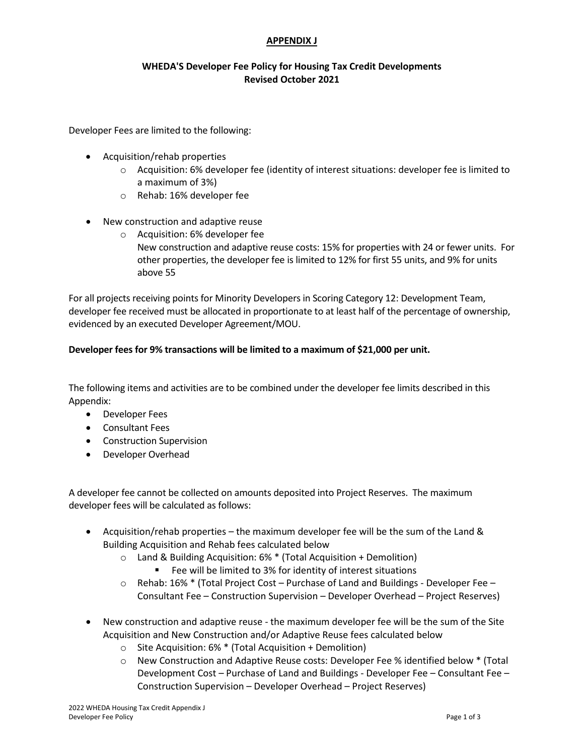## **APPENDIX J**

# **WHEDA'S Developer Fee Policy for Housing Tax Credit Developments Revised October 2021**

Developer Fees are limited to the following:

- Acquisition/rehab properties
	- $\circ$  Acquisition: 6% developer fee (identity of interest situations: developer fee is limited to a maximum of 3%)
	- o Rehab: 16% developer fee
- New construction and adaptive reuse
	- o Acquisition: 6% developer fee New construction and adaptive reuse costs: 15% for properties with 24 or fewer units. For other properties, the developer fee is limited to 12% for first 55 units, and 9% for units above 55

For all projects receiving points for Minority Developers in Scoring Category 12: Development Team, developer fee received must be allocated in proportionate to at least half of the percentage of ownership, evidenced by an executed Developer Agreement/MOU.

# **Developer fees for 9% transactions will be limited to a maximum of \$21,000 per unit.**

The following items and activities are to be combined under the developer fee limits described in this Appendix:

- Developer Fees
- Consultant Fees
- Construction Supervision
- Developer Overhead

A developer fee cannot be collected on amounts deposited into Project Reserves. The maximum developer fees will be calculated as follows:

- Acquisition/rehab properties the maximum developer fee will be the sum of the Land & Building Acquisition and Rehab fees calculated below
	- o Land & Building Acquisition: 6% \* (Total Acquisition + Demolition)
		- Fee will be limited to 3% for identity of interest situations
	- $\circ$  Rehab: 16% \* (Total Project Cost Purchase of Land and Buildings Developer Fee Consultant Fee – Construction Supervision – Developer Overhead – Project Reserves)
- New construction and adaptive reuse the maximum developer fee will be the sum of the Site Acquisition and New Construction and/or Adaptive Reuse fees calculated below
	- $\circ$  Site Acquisition: 6%  $*$  (Total Acquisition + Demolition)
	- o New Construction and Adaptive Reuse costs: Developer Fee % identified below \* (Total Development Cost – Purchase of Land and Buildings - Developer Fee – Consultant Fee – Construction Supervision – Developer Overhead – Project Reserves)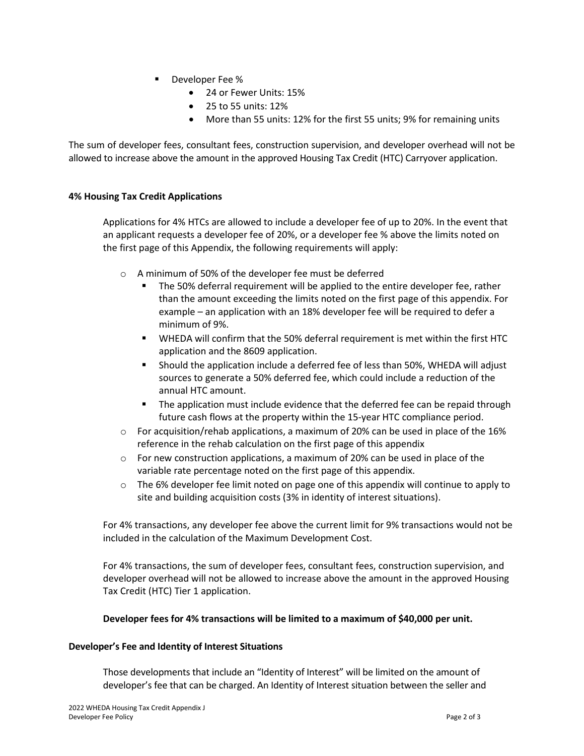- Developer Fee %
	- 24 or Fewer Units: 15%
	- 25 to 55 units: 12%
	- More than 55 units: 12% for the first 55 units; 9% for remaining units

The sum of developer fees, consultant fees, construction supervision, and developer overhead will not be allowed to increase above the amount in the approved Housing Tax Credit (HTC) Carryover application.

### **4% Housing Tax Credit Applications**

Applications for 4% HTCs are allowed to include a developer fee of up to 20%. In the event that an applicant requests a developer fee of 20%, or a developer fee % above the limits noted on the first page of this Appendix, the following requirements will apply:

- o A minimum of 50% of the developer fee must be deferred
	- The 50% deferral requirement will be applied to the entire developer fee, rather than the amount exceeding the limits noted on the first page of this appendix. For example – an application with an 18% developer fee will be required to defer a minimum of 9%.
	- WHEDA will confirm that the 50% deferral requirement is met within the first HTC application and the 8609 application.
	- Should the application include a deferred fee of less than 50%, WHEDA will adjust sources to generate a 50% deferred fee, which could include a reduction of the annual HTC amount.
	- **The application must include evidence that the deferred fee can be repaid through** future cash flows at the property within the 15-year HTC compliance period.
- $\circ$  For acquisition/rehab applications, a maximum of 20% can be used in place of the 16% reference in the rehab calculation on the first page of this appendix
- $\circ$  For new construction applications, a maximum of 20% can be used in place of the variable rate percentage noted on the first page of this appendix.
- $\circ$  The 6% developer fee limit noted on page one of this appendix will continue to apply to site and building acquisition costs (3% in identity of interest situations).

For 4% transactions, any developer fee above the current limit for 9% transactions would not be included in the calculation of the Maximum Development Cost.

For 4% transactions, the sum of developer fees, consultant fees, construction supervision, and developer overhead will not be allowed to increase above the amount in the approved Housing Tax Credit (HTC) Tier 1 application.

### **Developer fees for 4% transactions will be limited to a maximum of \$40,000 per unit.**

#### **Developer's Fee and Identity of Interest Situations**

Those developments that include an "Identity of Interest" will be limited on the amount of developer's fee that can be charged. An Identity of Interest situation between the seller and